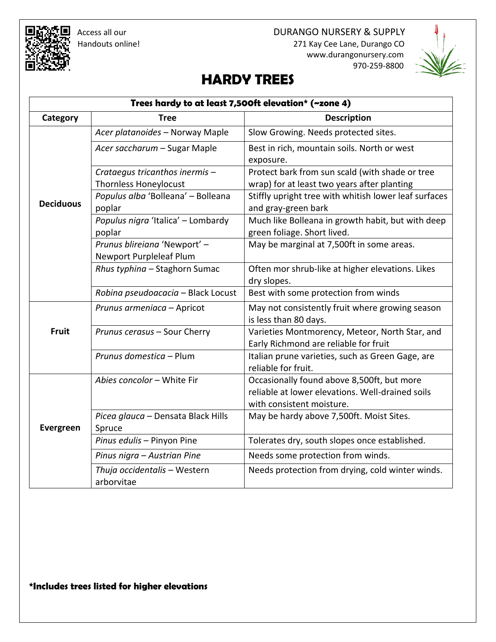Access all our **DURANGO NURSERY & SUPPLY**  Handouts online! 271 Kay Cee Lane, Durango CO www.durangonursery.com 970-259-8800



# **HARDY TREES**

| Trees hardy to at least 7,500ft elevation* (~zone 4) |                                                                |                                                                                                                             |  |
|------------------------------------------------------|----------------------------------------------------------------|-----------------------------------------------------------------------------------------------------------------------------|--|
| Category                                             | <b>Tree</b>                                                    | <b>Description</b>                                                                                                          |  |
| <b>Deciduous</b>                                     | Acer platanoides - Norway Maple                                | Slow Growing. Needs protected sites.                                                                                        |  |
|                                                      | Acer saccharum - Sugar Maple                                   | Best in rich, mountain soils. North or west<br>exposure.                                                                    |  |
|                                                      | Crataegus tricanthos inermis -<br><b>Thornless Honeylocust</b> | Protect bark from sun scald (with shade or tree<br>wrap) for at least two years after planting                              |  |
|                                                      | Populus alba 'Bolleana' - Bolleana<br>poplar                   | Stiffly upright tree with whitish lower leaf surfaces<br>and gray-green bark                                                |  |
|                                                      | Populus nigra 'Italica' - Lombardy<br>poplar                   | Much like Bolleana in growth habit, but with deep<br>green foliage. Short lived.                                            |  |
|                                                      | Prunus blireiana 'Newport' -<br>Newport Purpleleaf Plum        | May be marginal at 7,500ft in some areas.                                                                                   |  |
|                                                      | Rhus typhina - Staghorn Sumac                                  | Often mor shrub-like at higher elevations. Likes<br>dry slopes.                                                             |  |
|                                                      | Robina pseudoacacia - Black Locust                             | Best with some protection from winds                                                                                        |  |
| <b>Fruit</b>                                         | Prunus armeniaca - Apricot                                     | May not consistently fruit where growing season<br>is less than 80 days.                                                    |  |
|                                                      | Prunus cerasus - Sour Cherry                                   | Varieties Montmorency, Meteor, North Star, and<br>Early Richmond are reliable for fruit                                     |  |
|                                                      | Prunus domestica - Plum                                        | Italian prune varieties, such as Green Gage, are<br>reliable for fruit.                                                     |  |
|                                                      | Abies concolor - White Fir                                     | Occasionally found above 8,500ft, but more<br>reliable at lower elevations. Well-drained soils<br>with consistent moisture. |  |
| Evergreen                                            | Picea glauca - Densata Black Hills<br>Spruce                   | May be hardy above 7,500ft. Moist Sites.                                                                                    |  |
|                                                      | Pinus edulis - Pinyon Pine                                     | Tolerates dry, south slopes once established.                                                                               |  |
|                                                      | Pinus nigra - Austrian Pine                                    | Needs some protection from winds.                                                                                           |  |
|                                                      | Thuja occidentalis - Western<br>arborvitae                     | Needs protection from drying, cold winter winds.                                                                            |  |

## **\*Includes trees listed for higher elevations**